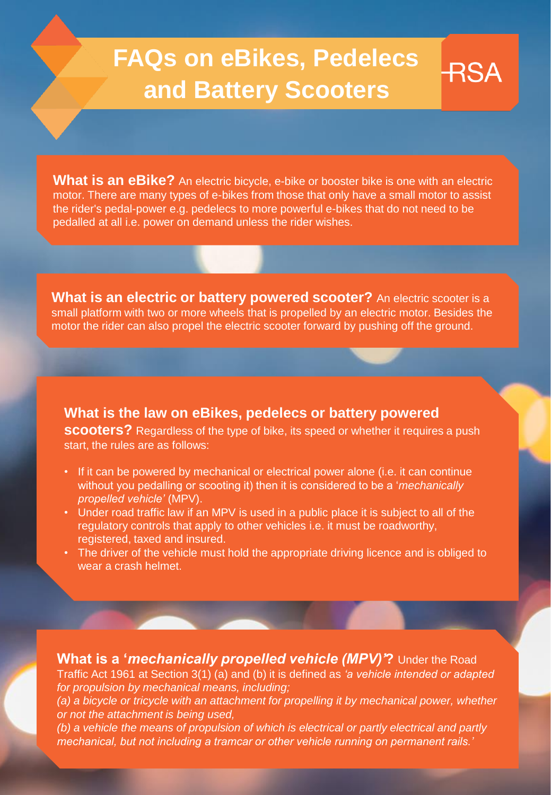# **FAQs on eBikes, Pedelecs and Battery Scooters**

**RSA** 

**What is an eBike?** An electric bicycle, e-bike or booster bike is one with an electric motor. There are many types of e-bikes from those that only have a small motor to assist the rider's pedal-power e.g. pedelecs to more powerful e-bikes that do not need to be pedalled at all i.e. power on demand unless the rider wishes.

**What is an electric or battery powered scooter?** An electric scooter is a small platform with two or more wheels that is propelled by an electric motor. Besides the motor the rider can also propel the electric scooter forward by pushing off the ground.

## **What is the law on eBikes, pedelecs or battery powered**

**scooters?** Regardless of the type of bike, its speed or whether it requires a push start, the rules are as follows:

- If it can be powered by mechanical or electrical power alone (i.e. it can continue without you pedalling or scooting it) then it is considered to be a '*mechanically propelled vehicle'* (MPV).
- Under road traffic law if an MPV is used in a public place it is subject to all of the regulatory controls that apply to other vehicles i.e. it must be roadworthy, registered, taxed and insured.
- The driver of the vehicle must hold the appropriate driving licence and is obliged to wear a crash helmet.

**What is a '***mechanically propelled vehicle (MPV)'***?** Under the Road Traffic Act 1961 at Section 3(1) (a) and (b) it is defined as *'a vehicle intended or adapted for propulsion by mechanical means, including; (a) a bicycle or tricycle with an attachment for propelling it by mechanical power, whether or not the attachment is being used, (b) a vehicle the means of propulsion of which is electrical or partly electrical and partly mechanical, but not including a tramcar or other vehicle running on permanent rails.'*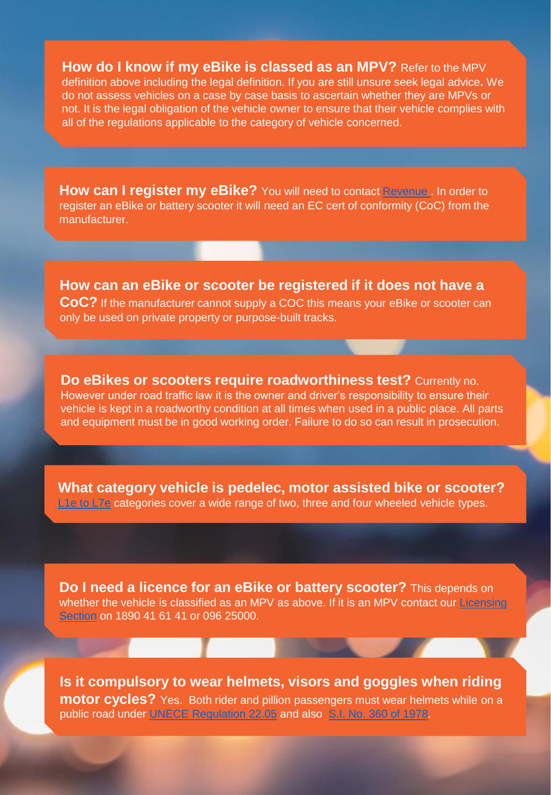**How do I know if my eBike is classed as an MPV?** Refer to the MPV definition above including the legal definition. If you are still unsure seek legal advice**.** We do not assess vehicles on a case by case basis to ascertain whether they are MPVs or not. It is the legal obligation of the vehicle owner to ensure that their vehicle complies with all of the regulations applicable to the category of vehicle concerned.

**How can I register my eBike?** You will need to contact Revenue, In order to register an eBike or battery scooter it will need an EC cert of conformity (CoC) from the manufacturer.

**How can an eBike or scooter be registered if it does not have a CoC?** If the manufacturer cannot supply a COC this means your eBike or scooter can only be used on private property or purpose-built tracks.

**Do eBikes or scooters require roadworthiness test?** Currently no. However under road traffic law it is the owner and driver's responsibility to ensure their vehicle is kept in a roadworthy condition at all times when used in a public place. All parts and equipment must be in good working order. Failure to do so can result in prosecution.

**What category vehicle is pedelec, motor assisted bike or scooter?** [L1e to L7e](https://www.rsa.ie/en/RSA/Your-Vehicle/About-your-Vehicle/What-Category-is-my-vehicle/) categories cover a wide range of two, three and four wheeled vehicle types.

**Do I need a licence for an eBike or battery scooter?** This depends on [whether the vehicle is classified as an MPV as above. If it is an MPV contact our Licensing](https://www.rsa.ie/en/RSA/Licensed-Drivers/Driving-licence/) Section on 1890 41 61 41 or 096 25000.

**Is it compulsory to wear helmets, visors and goggles when riding motor cycles?** Yes. Both rider and pillion passengers must wear helmets while on a public road under [UNECE Regulation 22.05](https://www.unece.org/fileadmin/DAM/trans/main/wp29/wp29regs/r022r4e.pdf) and also [S.I. No. 360 of 1978.](http://www.irishstatutebook.ie/eli/1978/si/360/made/en/print)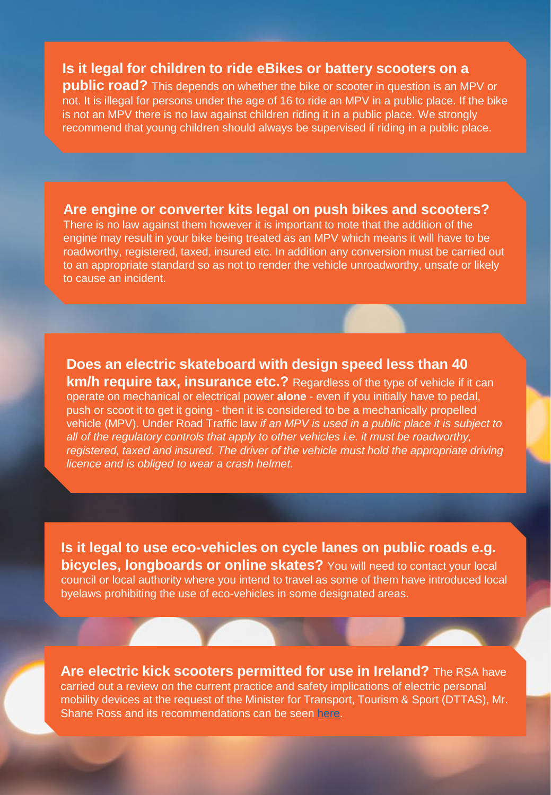## **Is it legal for children to ride eBikes or battery scooters on a**

**public road?** This depends on whether the bike or scooter in question is an MPV or not. It is illegal for persons under the age of 16 to ride an MPV in a public place. If the bike is not an MPV there is no law against children riding it in a public place. We strongly recommend that young children should always be supervised if riding in a public place.

#### **Are engine or converter kits legal on push bikes and scooters?**

There is no law against them however it is important to note that the addition of the engine may result in your bike being treated as an MPV which means it will have to be roadworthy, registered, taxed, insured etc. In addition any conversion must be carried out to an appropriate standard so as not to render the vehicle unroadworthy, unsafe or likely to cause an incident.

# **Does an electric skateboard with design speed less than 40**

**km/h require tax, insurance etc.?** Regardless of the type of vehicle if it can operate on mechanical or electrical power **alone** - even if you initially have to pedal, push or scoot it to get it going - then it is considered to be a mechanically propelled vehicle (MPV). Under Road Traffic law *if an MPV is used in a public place it is subject to all of the regulatory controls that apply to other vehicles i.e. it must be roadworthy, registered, taxed and insured. The driver of the vehicle must hold the appropriate driving licence and is obliged to wear a crash helmet.* 

**Is it legal to use eco-vehicles on cycle lanes on public roads e.g. bicycles, longboards or online skates?** You will need to contact your local council or local authority where you intend to travel as some of them have introduced local byelaws prohibiting the use of eco-vehicles in some designated areas.

**Are electric kick scooters permitted for use in Ireland?** The RSA have carried out a review on the current practice and safety implications of electric personal mobility devices at the request of the Minister for Transport, Tourism & Sport (DTTAS), Mr. Shane Ross and its recommendations can be seen [here](https://www.rsa.ie/en/Utility/News/2019/recommendations-following-the-review-of-current-practice-and-safety-implications-of-electric-mobility-devices/).